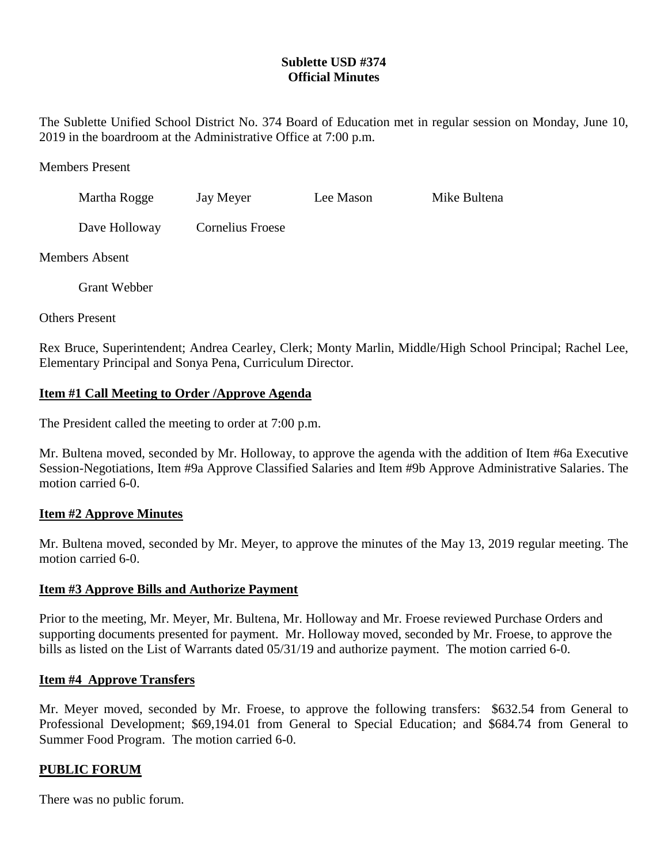# **Sublette USD #374 Official Minutes**

The Sublette Unified School District No. 374 Board of Education met in regular session on Monday, June 10, 2019 in the boardroom at the Administrative Office at 7:00 p.m.

Members Present

| Martha Rogge  | Jay Meyer               | Lee Mason | Mike Bultena |
|---------------|-------------------------|-----------|--------------|
| Dave Holloway | <b>Cornelius Froese</b> |           |              |

Members Absent

Grant Webber

Others Present

Rex Bruce, Superintendent; Andrea Cearley, Clerk; Monty Marlin, Middle/High School Principal; Rachel Lee, Elementary Principal and Sonya Pena, Curriculum Director.

## **Item #1 Call Meeting to Order /Approve Agenda**

The President called the meeting to order at 7:00 p.m.

Mr. Bultena moved, seconded by Mr. Holloway, to approve the agenda with the addition of Item #6a Executive Session-Negotiations, Item #9a Approve Classified Salaries and Item #9b Approve Administrative Salaries. The motion carried 6-0.

## **Item #2 Approve Minutes**

Mr. Bultena moved, seconded by Mr. Meyer, to approve the minutes of the May 13, 2019 regular meeting. The motion carried 6-0.

### **Item #3 Approve Bills and Authorize Payment**

Prior to the meeting, Mr. Meyer, Mr. Bultena, Mr. Holloway and Mr. Froese reviewed Purchase Orders and supporting documents presented for payment. Mr. Holloway moved, seconded by Mr. Froese, to approve the bills as listed on the List of Warrants dated 05/31/19 and authorize payment. The motion carried 6-0.

### **Item #4 Approve Transfers**

Mr. Meyer moved, seconded by Mr. Froese, to approve the following transfers: \$632.54 from General to Professional Development; \$69,194.01 from General to Special Education; and \$684.74 from General to Summer Food Program. The motion carried 6-0.

### **PUBLIC FORUM**

There was no public forum.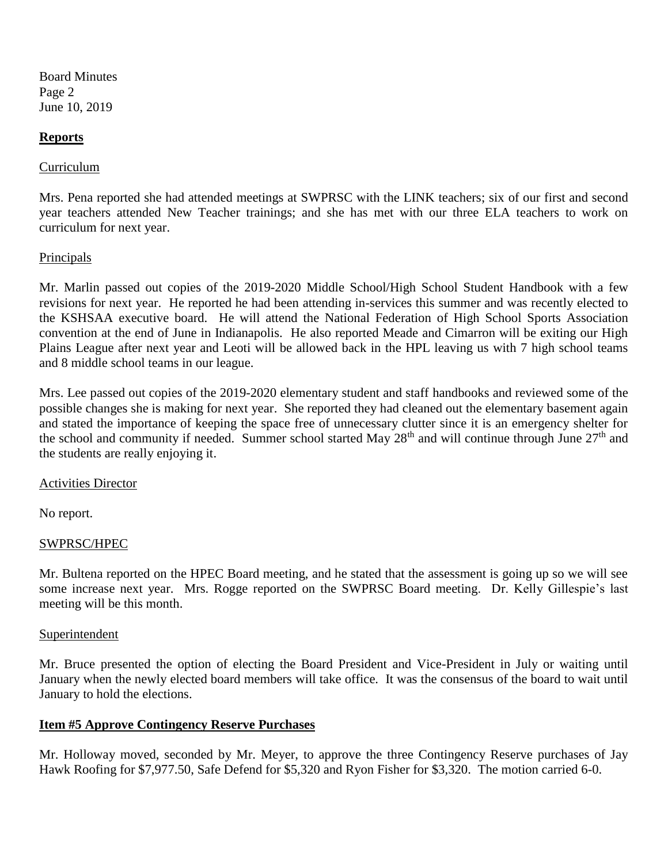Board Minutes Page 2 June 10, 2019

### **Reports**

### Curriculum

Mrs. Pena reported she had attended meetings at SWPRSC with the LINK teachers; six of our first and second year teachers attended New Teacher trainings; and she has met with our three ELA teachers to work on curriculum for next year.

### **Principals**

Mr. Marlin passed out copies of the 2019-2020 Middle School/High School Student Handbook with a few revisions for next year. He reported he had been attending in-services this summer and was recently elected to the KSHSAA executive board. He will attend the National Federation of High School Sports Association convention at the end of June in Indianapolis. He also reported Meade and Cimarron will be exiting our High Plains League after next year and Leoti will be allowed back in the HPL leaving us with 7 high school teams and 8 middle school teams in our league.

Mrs. Lee passed out copies of the 2019-2020 elementary student and staff handbooks and reviewed some of the possible changes she is making for next year. She reported they had cleaned out the elementary basement again and stated the importance of keeping the space free of unnecessary clutter since it is an emergency shelter for the school and community if needed. Summer school started May 28<sup>th</sup> and will continue through June 27<sup>th</sup> and the students are really enjoying it.

### Activities Director

No report.

#### SWPRSC/HPEC

Mr. Bultena reported on the HPEC Board meeting, and he stated that the assessment is going up so we will see some increase next year. Mrs. Rogge reported on the SWPRSC Board meeting. Dr. Kelly Gillespie's last meeting will be this month.

#### Superintendent

Mr. Bruce presented the option of electing the Board President and Vice-President in July or waiting until January when the newly elected board members will take office. It was the consensus of the board to wait until January to hold the elections.

#### **Item #5 Approve Contingency Reserve Purchases**

Mr. Holloway moved, seconded by Mr. Meyer, to approve the three Contingency Reserve purchases of Jay Hawk Roofing for \$7,977.50, Safe Defend for \$5,320 and Ryon Fisher for \$3,320. The motion carried 6-0.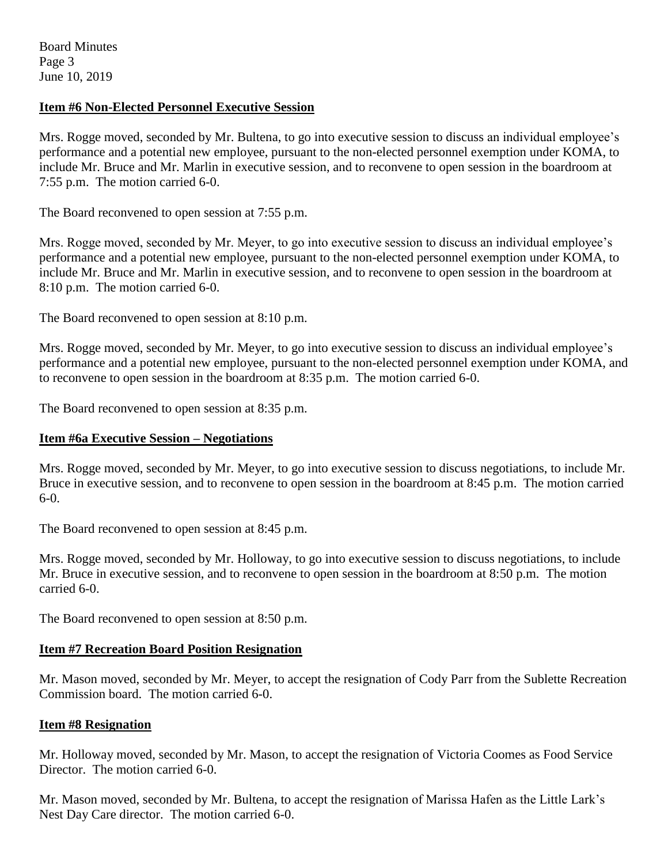Board Minutes Page 3 June 10, 2019

## **Item #6 Non-Elected Personnel Executive Session**

Mrs. Rogge moved, seconded by Mr. Bultena, to go into executive session to discuss an individual employee's performance and a potential new employee, pursuant to the non-elected personnel exemption under KOMA, to include Mr. Bruce and Mr. Marlin in executive session, and to reconvene to open session in the boardroom at 7:55 p.m. The motion carried 6-0.

The Board reconvened to open session at 7:55 p.m.

Mrs. Rogge moved, seconded by Mr. Meyer, to go into executive session to discuss an individual employee's performance and a potential new employee, pursuant to the non-elected personnel exemption under KOMA, to include Mr. Bruce and Mr. Marlin in executive session, and to reconvene to open session in the boardroom at 8:10 p.m. The motion carried 6-0.

The Board reconvened to open session at 8:10 p.m.

Mrs. Rogge moved, seconded by Mr. Meyer, to go into executive session to discuss an individual employee's performance and a potential new employee, pursuant to the non-elected personnel exemption under KOMA, and to reconvene to open session in the boardroom at 8:35 p.m. The motion carried 6-0.

The Board reconvened to open session at 8:35 p.m.

## **Item #6a Executive Session – Negotiations**

Mrs. Rogge moved, seconded by Mr. Meyer, to go into executive session to discuss negotiations, to include Mr. Bruce in executive session, and to reconvene to open session in the boardroom at 8:45 p.m. The motion carried 6-0.

The Board reconvened to open session at 8:45 p.m.

Mrs. Rogge moved, seconded by Mr. Holloway, to go into executive session to discuss negotiations, to include Mr. Bruce in executive session, and to reconvene to open session in the boardroom at 8:50 p.m. The motion carried 6-0.

The Board reconvened to open session at 8:50 p.m.

### **Item #7 Recreation Board Position Resignation**

Mr. Mason moved, seconded by Mr. Meyer, to accept the resignation of Cody Parr from the Sublette Recreation Commission board. The motion carried 6-0.

### **Item #8 Resignation**

Mr. Holloway moved, seconded by Mr. Mason, to accept the resignation of Victoria Coomes as Food Service Director. The motion carried 6-0.

Mr. Mason moved, seconded by Mr. Bultena, to accept the resignation of Marissa Hafen as the Little Lark's Nest Day Care director. The motion carried 6-0.